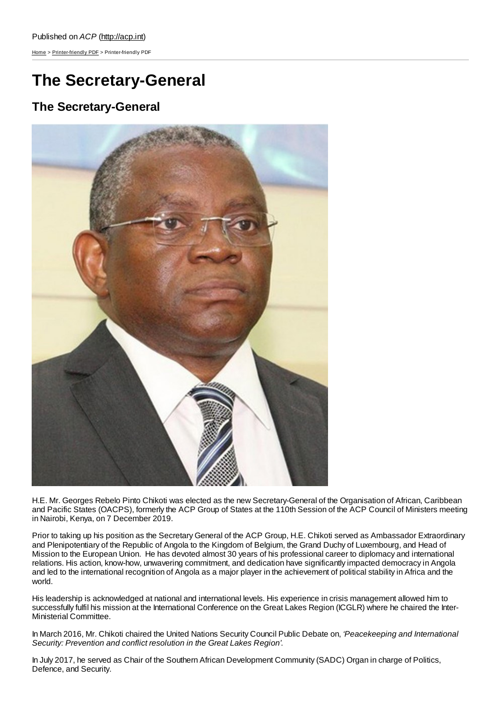[Home](http://acp.int/) > [Printer-friendly](http://acp.int/printpdf) PDF > Printer-friendly PDF

## **The Secretary-General**

## **The Secretary-General**



H.E. Mr. Georges Rebelo Pinto Chikoti was elected as the new Secretary-General of the Organisation of African, Caribbean and Pacific States (OACPS), formerly the ACP Group of States at the 110th Session of the ACP Council of Ministers meeting in Nairobi, Kenya, on 7 December 2019.

Prior to taking up his position as the Secretary General of the ACP Group, H.E. Chikoti served as Ambassador Extraordinary and Plenipotentiary of the Republic of Angola to the Kingdom of Belgium, the Grand Duchy of Luxembourg, and Head of Mission to the European Union. He has devoted almost 30 years of his professional career to diplomacy and international relations. His action, know-how, unwavering commitment, and dedication have significantly impacted democracy in Angola and led to the international recognition of Angola as a major player in the achievement of political stability in Africa and the world.

His leadership is acknowledged at national and international levels. His experience in crisis management allowed him to successfully fulfil his mission at the International Conference on the Great Lakes Region (ICGLR) where he chaired the Inter-Ministerial Committee.

In March 2016, Mr. Chikoti chaired the United Nations Security Council Public Debate on, *'Peacekeeping and International Security: Prevention and conflict resolution in the Great Lakes Region'*.

In July 2017, he served as Chair of the Southern African Development Community (SADC) Organ in charge of Politics, Defence, and Security.